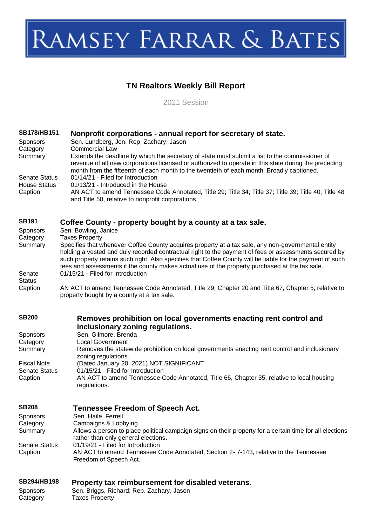# RAMSEY FARRAR & BATES

## **TN Realtors Weekly Bill Report**

2021 Session

| <b>SB178/HB151</b><br>Sponsors<br>Category        | Nonprofit corporations - annual report for secretary of state.<br>Sen. Lundberg, Jon; Rep. Zachary, Jason<br><b>Commercial Law</b>                                                                                                                                                                                                                                                                                                                   |
|---------------------------------------------------|------------------------------------------------------------------------------------------------------------------------------------------------------------------------------------------------------------------------------------------------------------------------------------------------------------------------------------------------------------------------------------------------------------------------------------------------------|
| Summary<br><b>Senate Status</b>                   | Extends the deadline by which the secretary of state must submit a list to the commissioner of<br>revenue of all new corporations licensed or authorized to operate in this state during the preceding<br>month from the fifteenth of each month to the twentieth of each month. Broadly captioned.<br>01/14/21 - Filed for Introduction                                                                                                             |
| <b>House Status</b><br>Caption                    | 01/13/21 - Introduced in the House<br>AN ACT to amend Tennessee Code Annotated, Title 29; Title 34; Title 37; Title 39; Title 40; Title 48<br>and Title 50, relative to nonprofit corporations.                                                                                                                                                                                                                                                      |
| <b>SB191</b><br>Sponsors                          | Coffee County - property bought by a county at a tax sale.<br>Sen. Bowling, Janice                                                                                                                                                                                                                                                                                                                                                                   |
| Category<br>Summary                               | <b>Taxes Property</b><br>Specifies that whenever Coffee County acquires property at a tax sale, any non-governmental entity<br>holding a vested and duly recorded contractual right to the payment of fees or assessments secured by<br>such property retains such right. Also specifies that Coffee County will be liable for the payment of such<br>fees and assessments if the county makes actual use of the property purchased at the tax sale. |
| Senate<br><b>Status</b><br>Caption                | 01/15/21 - Filed for Introduction<br>AN ACT to amend Tennessee Code Annotated, Title 29, Chapter 20 and Title 67, Chapter 5, relative to                                                                                                                                                                                                                                                                                                             |
|                                                   | property bought by a county at a tax sale.                                                                                                                                                                                                                                                                                                                                                                                                           |
| <b>SB200</b>                                      | Removes prohibition on local governments enacting rent control and<br>inclusionary zoning regulations.                                                                                                                                                                                                                                                                                                                                               |
| Sponsors                                          | Sen. Gilmore, Brenda<br><b>Local Government</b>                                                                                                                                                                                                                                                                                                                                                                                                      |
| Category<br>Summary                               | Removes the statewide prohibition on local governments enacting rent control and inclusionary<br>zoning regulations.                                                                                                                                                                                                                                                                                                                                 |
| <b>Fiscal Note</b><br><b>Senate Status</b>        | (Dated January 20, 2021) NOT SIGNIFICANT<br>01/15/21 - Filed for Introduction                                                                                                                                                                                                                                                                                                                                                                        |
| Caption                                           | AN ACT to amend Tennessee Code Annotated, Title 66, Chapter 35, relative to local housing<br>regulations.                                                                                                                                                                                                                                                                                                                                            |
| <b>SB208</b>                                      | <b>Tennessee Freedom of Speech Act.</b>                                                                                                                                                                                                                                                                                                                                                                                                              |
| <b>Sponsors</b><br>Category<br>Summary            | Sen. Haile, Ferrell<br>Campaigns & Lobbying<br>Allows a person to place political campaign signs on their property for a certain time for all elections                                                                                                                                                                                                                                                                                              |
| <b>Senate Status</b>                              | rather than only general elections.<br>01/19/21 - Filed for Introduction                                                                                                                                                                                                                                                                                                                                                                             |
| Caption                                           | AN ACT to amend Tennessee Code Annotated, Section 2-7-143, relative to the Tennessee<br>Freedom of Speech Act.                                                                                                                                                                                                                                                                                                                                       |
| <b>SB294/HB198</b><br><b>Sponsors</b><br>Category | Property tax reimbursement for disabled veterans.<br>Sen. Briggs, Richard; Rep. Zachary, Jason<br><b>Taxes Property</b>                                                                                                                                                                                                                                                                                                                              |
|                                                   |                                                                                                                                                                                                                                                                                                                                                                                                                                                      |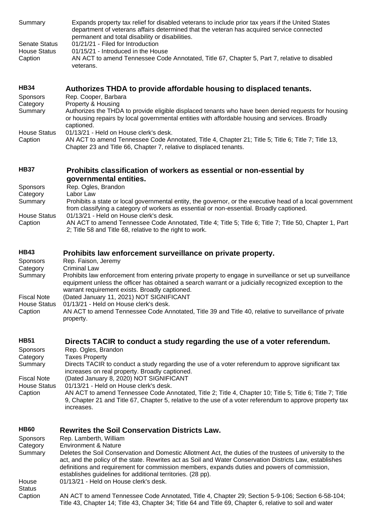| Summary<br><b>Senate Status</b><br><b>House Status</b><br>Caption | Expands property tax relief for disabled veterans to include prior tax years if the United States<br>department of veterans affairs determined that the veteran has acquired service connected<br>permanent and total disability or disabilities.<br>01/21/21 - Filed for Introduction<br>01/15/21 - Introduced in the House<br>AN ACT to amend Tennessee Code Annotated, Title 67, Chapter 5, Part 7, relative to disabled    |
|-------------------------------------------------------------------|--------------------------------------------------------------------------------------------------------------------------------------------------------------------------------------------------------------------------------------------------------------------------------------------------------------------------------------------------------------------------------------------------------------------------------|
|                                                                   | veterans.                                                                                                                                                                                                                                                                                                                                                                                                                      |
| <b>HB34</b>                                                       | Authorizes THDA to provide affordable housing to displaced tenants.                                                                                                                                                                                                                                                                                                                                                            |
| Sponsors<br>Category                                              | Rep. Cooper, Barbara<br>Property & Housing                                                                                                                                                                                                                                                                                                                                                                                     |
| Summary                                                           | Authorizes the THDA to provide eligible displaced tenants who have been denied requests for housing<br>or housing repairs by local governmental entities with affordable housing and services. Broadly<br>captioned.                                                                                                                                                                                                           |
| <b>House Status</b><br>Caption                                    | 01/13/21 - Held on House clerk's desk.<br>AN ACT to amend Tennessee Code Annotated, Title 4, Chapter 21; Title 5; Title 6; Title 7; Title 13,<br>Chapter 23 and Title 66, Chapter 7, relative to displaced tenants.                                                                                                                                                                                                            |
| <b>HB37</b>                                                       | Prohibits classification of workers as essential or non-essential by<br>governmental entities.                                                                                                                                                                                                                                                                                                                                 |
| Sponsors                                                          | Rep. Ogles, Brandon                                                                                                                                                                                                                                                                                                                                                                                                            |
| Category                                                          | Labor Law                                                                                                                                                                                                                                                                                                                                                                                                                      |
| Summary<br><b>House Status</b>                                    | Prohibits a state or local governmental entity, the governor, or the executive head of a local government<br>from classifying a category of workers as essential or non-essential. Broadly captioned.<br>01/13/21 - Held on House clerk's desk.                                                                                                                                                                                |
| Caption                                                           | AN ACT to amend Tennessee Code Annotated, Title 4; Title 5; Title 6; Title 7; Title 50, Chapter 1, Part<br>2; Title 58 and Title 68, relative to the right to work.                                                                                                                                                                                                                                                            |
| <b>HB43</b>                                                       | Prohibits law enforcement surveillance on private property.                                                                                                                                                                                                                                                                                                                                                                    |
| Sponsors<br>Category                                              | Rep. Faison, Jeremy<br><b>Criminal Law</b>                                                                                                                                                                                                                                                                                                                                                                                     |
| Summary                                                           | Prohibits law enforcement from entering private property to engage in surveillance or set up surveillance<br>equipment unless the officer has obtained a search warrant or a judicially recognized exception to the<br>warrant requirement exists. Broadly captioned.                                                                                                                                                          |
| <b>Fiscal Note</b><br><b>House Status</b>                         | (Dated January 11, 2021) NOT SIGNIFICANT<br>01/13/21 - Held on House clerk's desk.                                                                                                                                                                                                                                                                                                                                             |
| Caption                                                           | AN ACT to amend Tennessee Code Annotated, Title 39 and Title 40, relative to surveillance of private<br>property.                                                                                                                                                                                                                                                                                                              |
| <b>HB51</b>                                                       | Directs TACIR to conduct a study regarding the use of a voter referendum.                                                                                                                                                                                                                                                                                                                                                      |
| Sponsors<br>Category                                              | Rep. Ogles, Brandon<br><b>Taxes Property</b>                                                                                                                                                                                                                                                                                                                                                                                   |
| Summary<br><b>Fiscal Note</b>                                     | Directs TACIR to conduct a study regarding the use of a voter referendum to approve significant tax<br>increases on real property. Broadly captioned.<br>(Dated January 8, 2020) NOT SIGNIFICANT                                                                                                                                                                                                                               |
| <b>House Status</b>                                               | 01/13/21 - Held on House clerk's desk.                                                                                                                                                                                                                                                                                                                                                                                         |
| Caption                                                           | AN ACT to amend Tennessee Code Annotated, Title 2; Title 4, Chapter 10; Title 5; Title 6; Title 7; Title<br>9, Chapter 21 and Title 67, Chapter 5, relative to the use of a voter referendum to approve property tax<br>increases.                                                                                                                                                                                             |
| <b>HB60</b>                                                       | <b>Rewrites the Soil Conservation Districts Law.</b>                                                                                                                                                                                                                                                                                                                                                                           |
| Sponsors<br>Category                                              | Rep. Lamberth, William<br><b>Environment &amp; Nature</b>                                                                                                                                                                                                                                                                                                                                                                      |
| Summary<br>House                                                  | Deletes the Soil Conservation and Domestic Allotment Act, the duties of the trustees of university to the<br>act, and the policy of the state. Rewrites act as Soil and Water Conservation Districts Law, establishes<br>definitions and requirement for commission members, expands duties and powers of commission,<br>establishes guidelines for additional territories. (28 pp).<br>01/13/21 - Held on House clerk's desk. |
| <b>Status</b><br>Caption                                          | AN ACT to amend Tennessee Code Annotated, Title 4, Chapter 29; Section 5-9-106; Section 6-58-104;                                                                                                                                                                                                                                                                                                                              |

Title 43, Chapter 14; Title 43, Chapter 34; Title 64 and Title 69, Chapter 6, relative to soil and water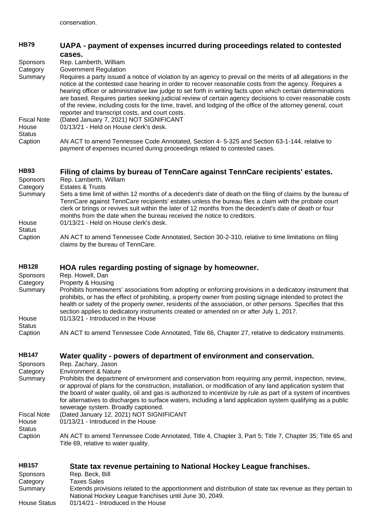| <b>HB79</b>                                  | UAPA - payment of expenses incurred during proceedings related to contested                                                                                                                                                                                                                                                                                                                                                                                                                                                                                                                                            |
|----------------------------------------------|------------------------------------------------------------------------------------------------------------------------------------------------------------------------------------------------------------------------------------------------------------------------------------------------------------------------------------------------------------------------------------------------------------------------------------------------------------------------------------------------------------------------------------------------------------------------------------------------------------------------|
| <b>Sponsors</b><br>Category                  | cases.<br>Rep. Lamberth, William<br><b>Government Regulation</b>                                                                                                                                                                                                                                                                                                                                                                                                                                                                                                                                                       |
| Summary                                      | Requires a party issued a notice of violation by an agency to prevail on the merits of all allegations in the<br>notice at the contested case hearing in order to recover reasonable costs from the agency. Requires a<br>hearing officer or administrative law judge to set forth in writing facts upon which certain determinations<br>are based. Requires parties seeking judicial review of certain agency decisions to cover reasonable costs<br>of the review, including costs for the time, travel, and lodging of the office of the attorney general, court<br>reporter and transcript costs, and court costs. |
| <b>Fiscal Note</b><br>House<br><b>Status</b> | (Dated January 7, 2021) NOT SIGNIFICANT<br>01/13/21 - Held on House clerk's desk.                                                                                                                                                                                                                                                                                                                                                                                                                                                                                                                                      |
| Caption                                      | AN ACT to amend Tennessee Code Annotated, Section 4-5-325 and Section 63-1-144, relative to<br>payment of expenses incurred during proceedings related to contested cases.                                                                                                                                                                                                                                                                                                                                                                                                                                             |
| <b>HB93</b><br><b>Sponsors</b><br>Category   | Filing of claims by bureau of TennCare against TennCare recipients' estates.<br>Rep. Lamberth, William<br><b>Estates &amp; Trusts</b>                                                                                                                                                                                                                                                                                                                                                                                                                                                                                  |
| Summary<br>House                             | Sets a time limit of within 12 months of a decedent's date of death on the filing of claims by the bureau of<br>TennCare against TennCare recipients' estates unless the bureau files a claim with the probate court<br>clerk or brings or revives suit within the later of 12 months from the decedent's date of death or four<br>months from the date when the bureau received the notice to creditors.<br>01/13/21 - Held on House clerk's desk.                                                                                                                                                                    |
| <b>Status</b><br>Caption                     | AN ACT to amend Tennessee Code Annotated, Section 30-2-310, relative to time limitations on filing<br>claims by the bureau of TennCare.                                                                                                                                                                                                                                                                                                                                                                                                                                                                                |
| <b>HB128</b><br><b>Sponsors</b>              | HOA rules regarding posting of signage by homeowner.<br>Rep. Howell, Dan                                                                                                                                                                                                                                                                                                                                                                                                                                                                                                                                               |
| Category<br>Summary<br>House                 | Property & Housing<br>Prohibits homeowners' associations from adopting or enforcing provisions in a dedicatory instrument that<br>prohibits, or has the effect of prohibiting, a property owner from posting signage intended to protect the<br>health or safety of the property owner, residents of the association, or other persons. Specifies that this<br>section applies to dedicatory instruments created or amended on or after July 1, 2017.<br>01/13/21 - Introduced in the House                                                                                                                            |
| <b>Status</b><br>Caption                     | AN ACT to amend Tennessee Code Annotated, Title 66, Chapter 27, relative to dedicatory instruments.                                                                                                                                                                                                                                                                                                                                                                                                                                                                                                                    |
| <b>HB147</b>                                 | Water quality - powers of department of environment and conservation.                                                                                                                                                                                                                                                                                                                                                                                                                                                                                                                                                  |
| <b>Sponsors</b><br>Category<br>Summary       | Rep. Zachary, Jason<br><b>Environment &amp; Nature</b><br>Prohibits the department of environment and conservation from requiring any permit, inspection, review,<br>or approval of plans for the construction, installation, or modification of any land application system that<br>the board of water quality, oil and gas is authorized to incentivize by rule as part of a system of incentives<br>for alternatives to discharges to surface waters, including a land application system qualifying as a public<br>sewerage system. Broadly captioned.                                                             |
| <b>Fiscal Note</b><br>House<br><b>Status</b> | (Dated January 12, 2021) NOT SIGNIFICANT<br>01/13/21 - Introduced in the House                                                                                                                                                                                                                                                                                                                                                                                                                                                                                                                                         |
| Caption                                      | AN ACT to amend Tennessee Code Annotated, Title 4, Chapter 3, Part 5; Title 7, Chapter 35; Title 65 and<br>Title 69, relative to water quality.                                                                                                                                                                                                                                                                                                                                                                                                                                                                        |
| <b>HB157</b><br><b>Sponsors</b>              | State tax revenue pertaining to National Hockey League franchises.<br>Rep. Beck, Bill                                                                                                                                                                                                                                                                                                                                                                                                                                                                                                                                  |
| Category<br>Summary                          | <b>Taxes Sales</b><br>Extends provisions related to the apportionment and distribution of state tax revenue as they pertain to                                                                                                                                                                                                                                                                                                                                                                                                                                                                                         |

National Hockey League franchises until June 30, 2049. House Status 01/14/21 - Introduced in the House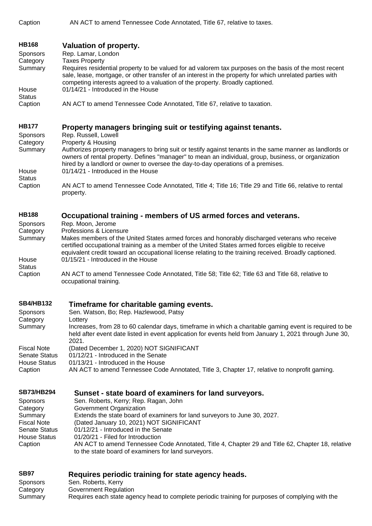Caption AN ACT to amend Tennessee Code Annotated, Title 67, relative to taxes.

## **[HB168](https://tls.mleesmith.com/2021-2022/pdf/HB0168.pdf) [Valuation of property.](https://tls.mleesmith.com/2021-2022/pdf/HB0168.pdf)**

Sponsors Rep. Lamar, London

Category **Taxes Property** 

Summary Requires residential property to be valued for ad valorem tax purposes on the basis of the most recent sale, lease, mortgage, or other transfer of an interest in the property for which unrelated parties with competing interests agreed to a valuation of the property. Broadly captioned. **House** 01/14/21 - Introduced in the House

**Status** Caption AN ACT to amend Tennessee Code Annotated, Title 67, relative to taxation.

#### **[HB177](https://tls.mleesmith.com/2021-2022/pdf/HB0177.pdf) [Property managers bringing suit or testifying against tenants.](https://tls.mleesmith.com/2021-2022/pdf/HB0177.pdf)**

Sponsors Rep. Russell, Lowell Category Property & Housing Summary Authorizes property managers to bring suit or testify against tenants in the same manner as landlords or owners of rental property. Defines "manager" to mean an individual, group, business, or organization hired by a landlord or owner to oversee the day-to-day operations of a premises. House **Status** 01/14/21 - Introduced in the House Caption AN ACT to amend Tennessee Code Annotated, Title 4; Title 16; Title 29 and Title 66, relative to rental property.

#### **[HB188](https://tls.mleesmith.com/2021-2022/pdf/HB0188.pdf) Occupational training - [members of US armed forces and veterans.](https://tls.mleesmith.com/2021-2022/pdf/HB0188.pdf)**

- Sponsors Rep. Moon, Jerome
- Category Professions & Licensure

Summary Makes members of the United States armed forces and honorably discharged veterans who receive certified occupational training as a member of the United States armed forces eligible to receive equivalent credit toward an occupational license relating to the training received. Broadly captioned. House **Status** 01/15/21 - Introduced in the House

Caption AN ACT to amend Tennessee Code Annotated, Title 58; Title 62; Title 63 and Title 68, relative to occupational training.

### **[SB4/HB132](https://tls.mleesmith.com/2021-2022/pdf/SB0004.pdf) [Timeframe for charitable gaming events.](https://tls.mleesmith.com/2021-2022/pdf/SB0004.pdf)**

| Sponsors<br>Category           | Sen. Watson, Bo; Rep. Hazlewood, Patsy<br>Lottery                                                                                                                                                                          |
|--------------------------------|----------------------------------------------------------------------------------------------------------------------------------------------------------------------------------------------------------------------------|
| Summary                        | Increases, from 28 to 60 calendar days, timeframe in which a charitable gaming event is required to be<br>held after event date listed in event application for events held from January 1, 2021 through June 30,<br>2021. |
| <b>Fiscal Note</b>             | (Dated December 1, 2020) NOT SIGNIFICANT                                                                                                                                                                                   |
| <b>Senate Status</b>           | 01/12/21 - Introduced in the Senate                                                                                                                                                                                        |
| <b>House Status</b><br>Caption | 01/13/21 - Introduced in the House<br>AN ACT to amend Tennessee Code Annotated, Title 3, Chapter 17, relative to nonprofit gaming.                                                                                         |

#### **[SB73/HB294](https://tls.mleesmith.com/2021-2022/pdf/SB0073.pdf) Sunset - [state board of examiners for land surveyors.](https://tls.mleesmith.com/2021-2022/pdf/SB0073.pdf)**

| <b>Sponsors</b>      | Sen. Roberts, Kerry; Rep. Ragan, John                                                                                                                   |
|----------------------|---------------------------------------------------------------------------------------------------------------------------------------------------------|
| Category             | Government Organization                                                                                                                                 |
| Summary              | Extends the state board of examiners for land surveyors to June 30, 2027.                                                                               |
| <b>Fiscal Note</b>   | (Dated January 10, 2021) NOT SIGNIFICANT                                                                                                                |
| <b>Senate Status</b> | 01/12/21 - Introduced in the Senate                                                                                                                     |
| House Status         | 01/20/21 - Filed for Introduction                                                                                                                       |
| Caption              | AN ACT to amend Tennessee Code Annotated, Title 4, Chapter 29 and Title 62, Chapter 18, relative<br>to the state board of examiners for land surveyors. |

## **[SB97](https://tls.mleesmith.com/2021-2022/pdf/SB0097.pdf) [Requires periodic training for state agency heads.](https://tls.mleesmith.com/2021-2022/pdf/SB0097.pdf)**

| Sponsors | Sen. Roberts, Kerry                                                                              |
|----------|--------------------------------------------------------------------------------------------------|
| Category | Government Regulation                                                                            |
| Summary  | Requires each state agency head to complete periodic training for purposes of complying with the |